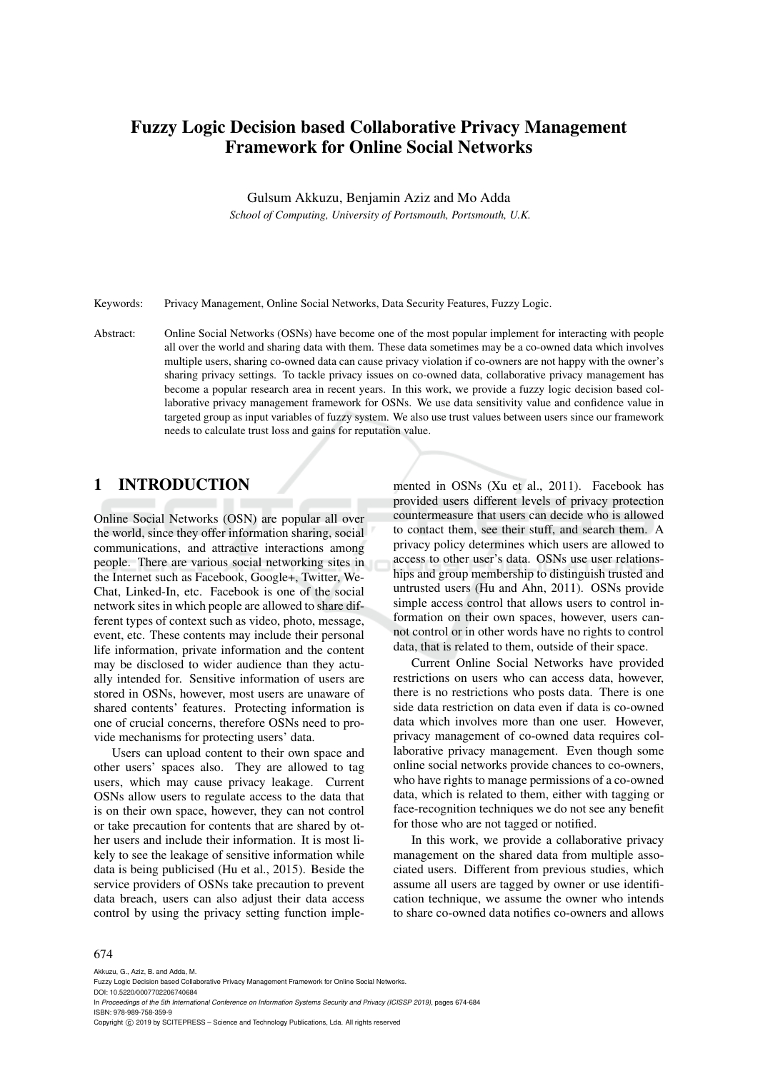# Fuzzy Logic Decision based Collaborative Privacy Management Framework for Online Social Networks

Gulsum Akkuzu, Benjamin Aziz and Mo Adda

*School of Computing, University of Portsmouth, Portsmouth, U.K.*

Keywords: Privacy Management, Online Social Networks, Data Security Features, Fuzzy Logic.

Abstract: Online Social Networks (OSNs) have become one of the most popular implement for interacting with people all over the world and sharing data with them. These data sometimes may be a co-owned data which involves multiple users, sharing co-owned data can cause privacy violation if co-owners are not happy with the owner's sharing privacy settings. To tackle privacy issues on co-owned data, collaborative privacy management has become a popular research area in recent years. In this work, we provide a fuzzy logic decision based collaborative privacy management framework for OSNs. We use data sensitivity value and confidence value in targeted group as input variables of fuzzy system. We also use trust values between users since our framework needs to calculate trust loss and gains for reputation value.

## 1 INTRODUCTION

Online Social Networks (OSN) are popular all over the world, since they offer information sharing, social communications, and attractive interactions among people. There are various social networking sites in the Internet such as Facebook, Google+, Twitter, We-Chat, Linked-In, etc. Facebook is one of the social network sites in which people are allowed to share different types of context such as video, photo, message, event, etc. These contents may include their personal life information, private information and the content may be disclosed to wider audience than they actually intended for. Sensitive information of users are stored in OSNs, however, most users are unaware of shared contents' features. Protecting information is one of crucial concerns, therefore OSNs need to provide mechanisms for protecting users' data.

Users can upload content to their own space and other users' spaces also. They are allowed to tag users, which may cause privacy leakage. Current OSNs allow users to regulate access to the data that is on their own space, however, they can not control or take precaution for contents that are shared by other users and include their information. It is most likely to see the leakage of sensitive information while data is being publicised (Hu et al., 2015). Beside the service providers of OSNs take precaution to prevent data breach, users can also adjust their data access control by using the privacy setting function implemented in OSNs (Xu et al., 2011). Facebook has provided users different levels of privacy protection countermeasure that users can decide who is allowed to contact them, see their stuff, and search them. A privacy policy determines which users are allowed to access to other user's data. OSNs use user relationships and group membership to distinguish trusted and untrusted users (Hu and Ahn, 2011). OSNs provide simple access control that allows users to control information on their own spaces, however, users cannot control or in other words have no rights to control data, that is related to them, outside of their space.

Current Online Social Networks have provided restrictions on users who can access data, however, there is no restrictions who posts data. There is one side data restriction on data even if data is co-owned data which involves more than one user. However, privacy management of co-owned data requires collaborative privacy management. Even though some online social networks provide chances to co-owners, who have rights to manage permissions of a co-owned data, which is related to them, either with tagging or face-recognition techniques we do not see any benefit for those who are not tagged or notified.

In this work, we provide a collaborative privacy management on the shared data from multiple associated users. Different from previous studies, which assume all users are tagged by owner or use identification technique, we assume the owner who intends to share co-owned data notifies co-owners and allows

#### 674

Akkuzu, G., Aziz, B. and Adda, M.

Fuzzy Logic Decision based Collaborative Privacy Management Framework for Online Social Networks. DOI: 10.5220/0007702206740684 In *Proceedings of the 5th International Conference on Information Systems Security and Privacy (ICISSP 2019)*, pages 674-684 ISBN: 978-989-758-359-9 Copyright  $\odot$  2019 by SCITEPRESS - Science and Technology Publications, Lda. All rights reserved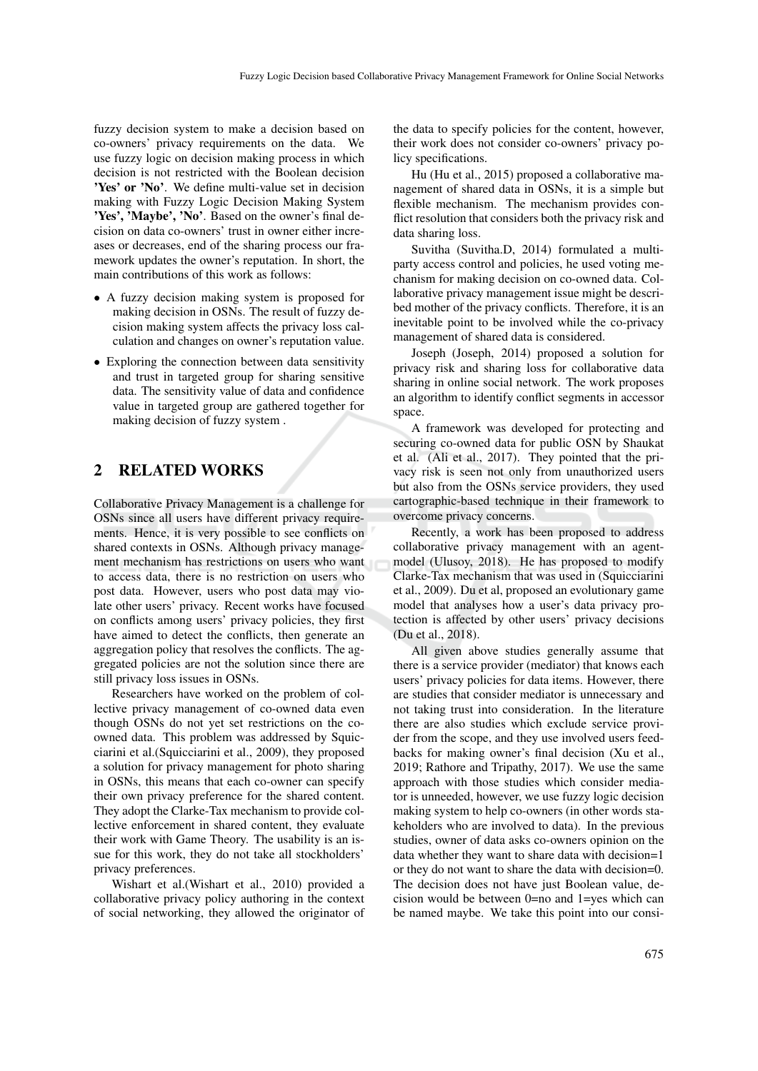fuzzy decision system to make a decision based on co-owners' privacy requirements on the data. We use fuzzy logic on decision making process in which decision is not restricted with the Boolean decision 'Yes' or 'No'. We define multi-value set in decision making with Fuzzy Logic Decision Making System 'Yes', 'Maybe', 'No'. Based on the owner's final decision on data co-owners' trust in owner either increases or decreases, end of the sharing process our framework updates the owner's reputation. In short, the main contributions of this work as follows:

- A fuzzy decision making system is proposed for making decision in OSNs. The result of fuzzy decision making system affects the privacy loss calculation and changes on owner's reputation value.
- Exploring the connection between data sensitivity and trust in targeted group for sharing sensitive data. The sensitivity value of data and confidence value in targeted group are gathered together for making decision of fuzzy system .

## 2 RELATED WORKS

Collaborative Privacy Management is a challenge for OSNs since all users have different privacy requirements. Hence, it is very possible to see conflicts on shared contexts in OSNs. Although privacy management mechanism has restrictions on users who want to access data, there is no restriction on users who post data. However, users who post data may violate other users' privacy. Recent works have focused on conflicts among users' privacy policies, they first have aimed to detect the conflicts, then generate an aggregation policy that resolves the conflicts. The aggregated policies are not the solution since there are still privacy loss issues in OSNs.

Researchers have worked on the problem of collective privacy management of co-owned data even though OSNs do not yet set restrictions on the coowned data. This problem was addressed by Squicciarini et al.(Squicciarini et al., 2009), they proposed a solution for privacy management for photo sharing in OSNs, this means that each co-owner can specify their own privacy preference for the shared content. They adopt the Clarke-Tax mechanism to provide collective enforcement in shared content, they evaluate their work with Game Theory. The usability is an issue for this work, they do not take all stockholders' privacy preferences.

Wishart et al.(Wishart et al., 2010) provided a collaborative privacy policy authoring in the context of social networking, they allowed the originator of the data to specify policies for the content, however, their work does not consider co-owners' privacy policy specifications.

Hu (Hu et al., 2015) proposed a collaborative management of shared data in OSNs, it is a simple but flexible mechanism. The mechanism provides conflict resolution that considers both the privacy risk and data sharing loss.

Suvitha (Suvitha.D, 2014) formulated a multiparty access control and policies, he used voting mechanism for making decision on co-owned data. Collaborative privacy management issue might be described mother of the privacy conflicts. Therefore, it is an inevitable point to be involved while the co-privacy management of shared data is considered.

Joseph (Joseph, 2014) proposed a solution for privacy risk and sharing loss for collaborative data sharing in online social network. The work proposes an algorithm to identify conflict segments in accessor space.

A framework was developed for protecting and securing co-owned data for public OSN by Shaukat et al. (Ali et al., 2017). They pointed that the privacy risk is seen not only from unauthorized users but also from the OSNs service providers, they used cartographic-based technique in their framework to overcome privacy concerns.

Recently, a work has been proposed to address collaborative privacy management with an agentmodel (Ulusoy, 2018). He has proposed to modify Clarke-Tax mechanism that was used in (Squicciarini et al., 2009). Du et al, proposed an evolutionary game model that analyses how a user's data privacy protection is affected by other users' privacy decisions (Du et al., 2018).

All given above studies generally assume that there is a service provider (mediator) that knows each users' privacy policies for data items. However, there are studies that consider mediator is unnecessary and not taking trust into consideration. In the literature there are also studies which exclude service provider from the scope, and they use involved users feedbacks for making owner's final decision (Xu et al., 2019; Rathore and Tripathy, 2017). We use the same approach with those studies which consider mediator is unneeded, however, we use fuzzy logic decision making system to help co-owners (in other words stakeholders who are involved to data). In the previous studies, owner of data asks co-owners opinion on the data whether they want to share data with decision=1 or they do not want to share the data with decision=0. The decision does not have just Boolean value, decision would be between 0=no and 1=yes which can be named maybe. We take this point into our consi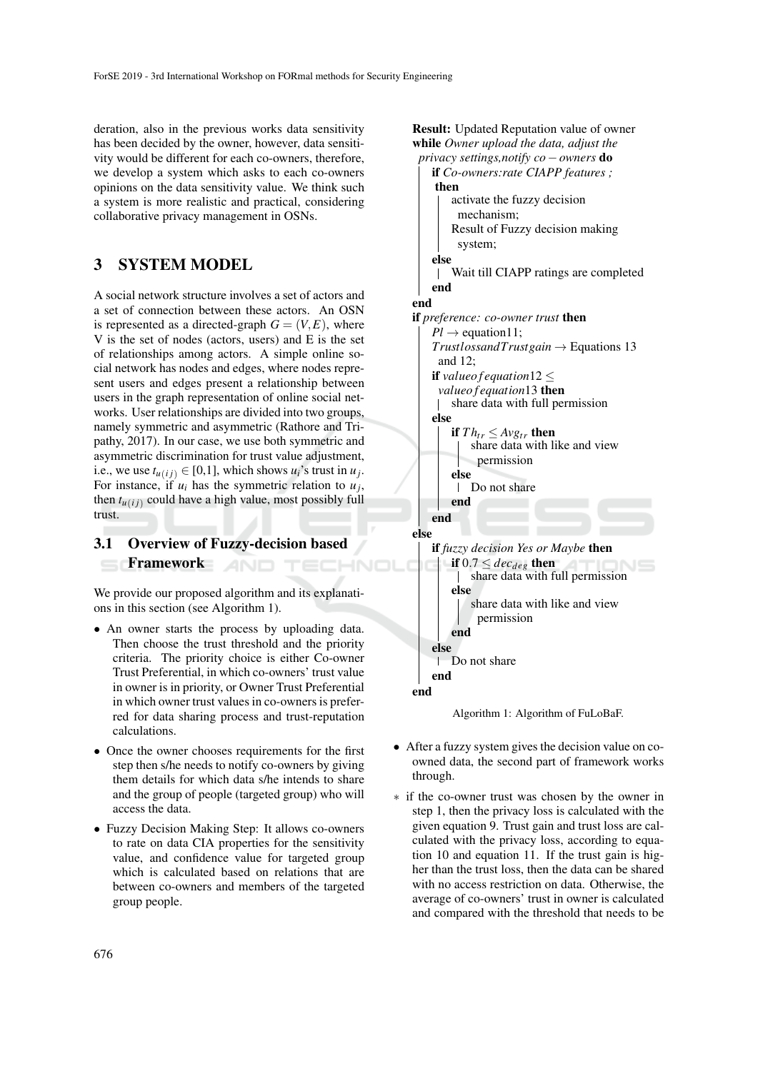deration, also in the previous works data sensitivity has been decided by the owner, however, data sensitivity would be different for each co-owners, therefore, we develop a system which asks to each co-owners opinions on the data sensitivity value. We think such a system is more realistic and practical, considering collaborative privacy management in OSNs.

# 3 SYSTEM MODEL

A social network structure involves a set of actors and a set of connection between these actors. An OSN is represented as a directed-graph  $G = (V, E)$ , where V is the set of nodes (actors, users) and E is the set of relationships among actors. A simple online social network has nodes and edges, where nodes represent users and edges present a relationship between users in the graph representation of online social networks. User relationships are divided into two groups, namely symmetric and asymmetric (Rathore and Tripathy, 2017). In our case, we use both symmetric and asymmetric discrimination for trust value adjustment, i.e., we use  $t_{u(ij)} \in [0,1]$ , which shows  $u_i$ 's trust in  $u_j$ . For instance, if  $u_i$  has the symmetric relation to  $u_j$ , then  $t_{u(i)}$  could have a high value, most possibly full trust.

#### 3.1 Overview of Fuzzy-decision based Framework **AND**

We provide our proposed algorithm and its explanations in this section (see Algorithm 1).

- An owner starts the process by uploading data. Then choose the trust threshold and the priority criteria. The priority choice is either Co-owner Trust Preferential, in which co-owners' trust value in owner is in priority, or Owner Trust Preferential in which owner trust values in co-owners is preferred for data sharing process and trust-reputation calculations.
- Once the owner chooses requirements for the first step then s/he needs to notify co-owners by giving them details for which data s/he intends to share and the group of people (targeted group) who will access the data.
- Fuzzy Decision Making Step: It allows co-owners to rate on data CIA properties for the sensitivity value, and confidence value for targeted group which is calculated based on relations that are between co-owners and members of the targeted group people.

Result: Updated Reputation value of owner while *Owner upload the data, adjust the*



- After a fuzzy system gives the decision value on coowned data, the second part of framework works through.
- ∗ if the co-owner trust was chosen by the owner in step 1, then the privacy loss is calculated with the given equation 9. Trust gain and trust loss are calculated with the privacy loss, according to equation 10 and equation 11. If the trust gain is higher than the trust loss, then the data can be shared with no access restriction on data. Otherwise, the average of co-owners' trust in owner is calculated and compared with the threshold that needs to be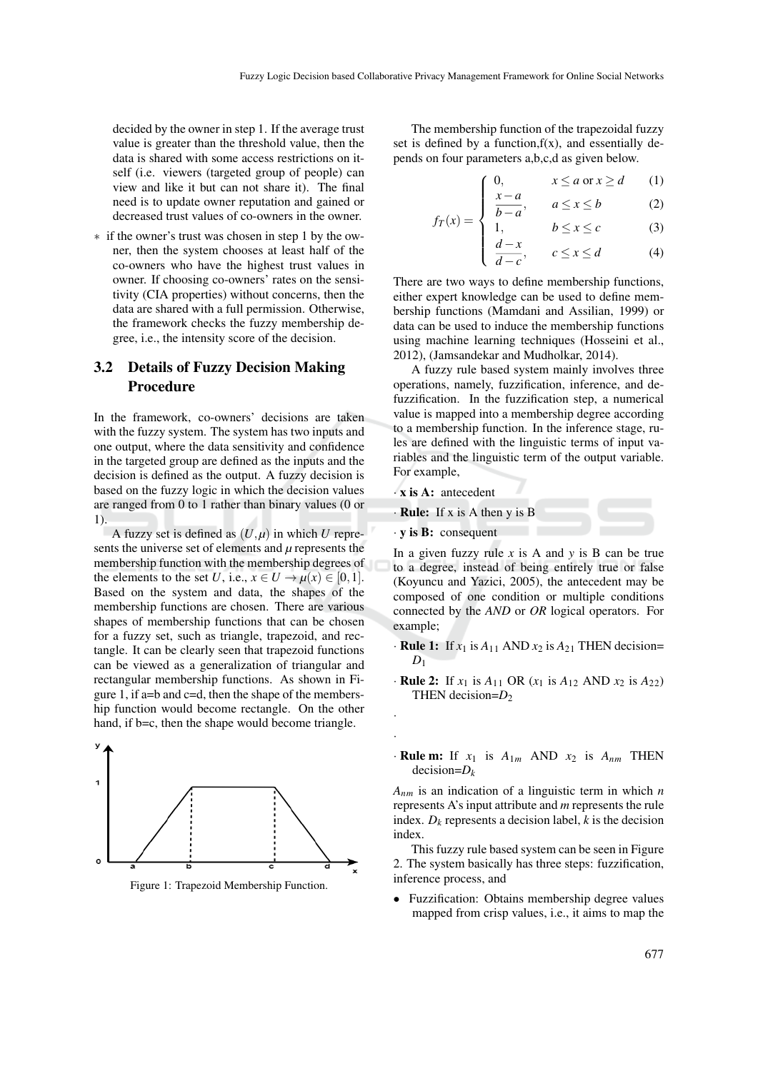decided by the owner in step 1. If the average trust value is greater than the threshold value, then the data is shared with some access restrictions on itself (i.e. viewers (targeted group of people) can view and like it but can not share it). The final need is to update owner reputation and gained or decreased trust values of co-owners in the owner.

∗ if the owner's trust was chosen in step 1 by the owner, then the system chooses at least half of the co-owners who have the highest trust values in owner. If choosing co-owners' rates on the sensitivity (CIA properties) without concerns, then the data are shared with a full permission. Otherwise, the framework checks the fuzzy membership degree, i.e., the intensity score of the decision.

## 3.2 Details of Fuzzy Decision Making Procedure

In the framework, co-owners' decisions are taken with the fuzzy system. The system has two inputs and one output, where the data sensitivity and confidence in the targeted group are defined as the inputs and the decision is defined as the output. A fuzzy decision is based on the fuzzy logic in which the decision values are ranged from 0 to 1 rather than binary values (0 or 1).

A fuzzy set is defined as  $(U, \mu)$  in which  $U$  represents the universe set of elements and  $\mu$  represents the membership function with the membership degrees of the elements to the set *U*, i.e.,  $x \in U \rightarrow \mu(x) \in [0,1]$ . Based on the system and data, the shapes of the membership functions are chosen. There are various shapes of membership functions that can be chosen for a fuzzy set, such as triangle, trapezoid, and rectangle. It can be clearly seen that trapezoid functions can be viewed as a generalization of triangular and rectangular membership functions. As shown in Figure 1, if a=b and c=d, then the shape of the membership function would become rectangle. On the other hand, if b=c, then the shape would become triangle.



Figure 1: Trapezoid Membership Function.

The membership function of the trapezoidal fuzzy set is defined by a function,  $f(x)$ , and essentially depends on four parameters a,b,c,d as given below.

$$
\begin{cases}\n0, & x \le a \text{ or } x \ge d \\
x - a & \le a \le 1\n\end{cases}
$$
\n(1)

$$
a(x) = \begin{cases} \frac{x-a}{b-a}, & a \leq x \leq b \end{cases}
$$
 (2)

$$
f_T(x) = \begin{cases} b-a \\ 1, & b \le x \le c \\ \frac{d-x}{d-c}, & c \le x \le d \end{cases}
$$
 (3)

There are two ways to define membership functions, either expert knowledge can be used to define membership functions (Mamdani and Assilian, 1999) or data can be used to induce the membership functions using machine learning techniques (Hosseini et al., 2012), (Jamsandekar and Mudholkar, 2014).

A fuzzy rule based system mainly involves three operations, namely, fuzzification, inference, and defuzzification. In the fuzzification step, a numerical value is mapped into a membership degree according to a membership function. In the inference stage, rules are defined with the linguistic terms of input variables and the linguistic term of the output variable. For example,

· x is A: antecedent

· Rule: If x is A then y is B

· y is B: consequent

· ·

In a given fuzzy rule *x* is A and *y* is B can be true to a degree, instead of being entirely true or false (Koyuncu and Yazici, 2005), the antecedent may be composed of one condition or multiple conditions connected by the *AND* or *OR* logical operators. For example;

- $\cdot$  **Rule 1:** If  $x_1$  is  $A_{11}$  AND  $x_2$  is  $A_{21}$  THEN decision=  $D_1$
- $\cdot$  **Rule 2:** If  $x_1$  is  $A_{11}$  OR  $(x_1$  is  $A_{12}$  AND  $x_2$  is  $A_{22}$ ) THEN decision= $D_2$
- $\cdot$  **Rule m:** If  $x_1$  is  $A_{1m}$  AND  $x_2$  is  $A_{nm}$  THEN decision=*D<sup>k</sup>*

*Anm* is an indication of a linguistic term in which *n* represents A's input attribute and *m* represents the rule index.  $D_k$  represents a decision label,  $k$  is the decision index.

This fuzzy rule based system can be seen in Figure 2. The system basically has three steps: fuzzification, inference process, and

• Fuzzification: Obtains membership degree values mapped from crisp values, i.e., it aims to map the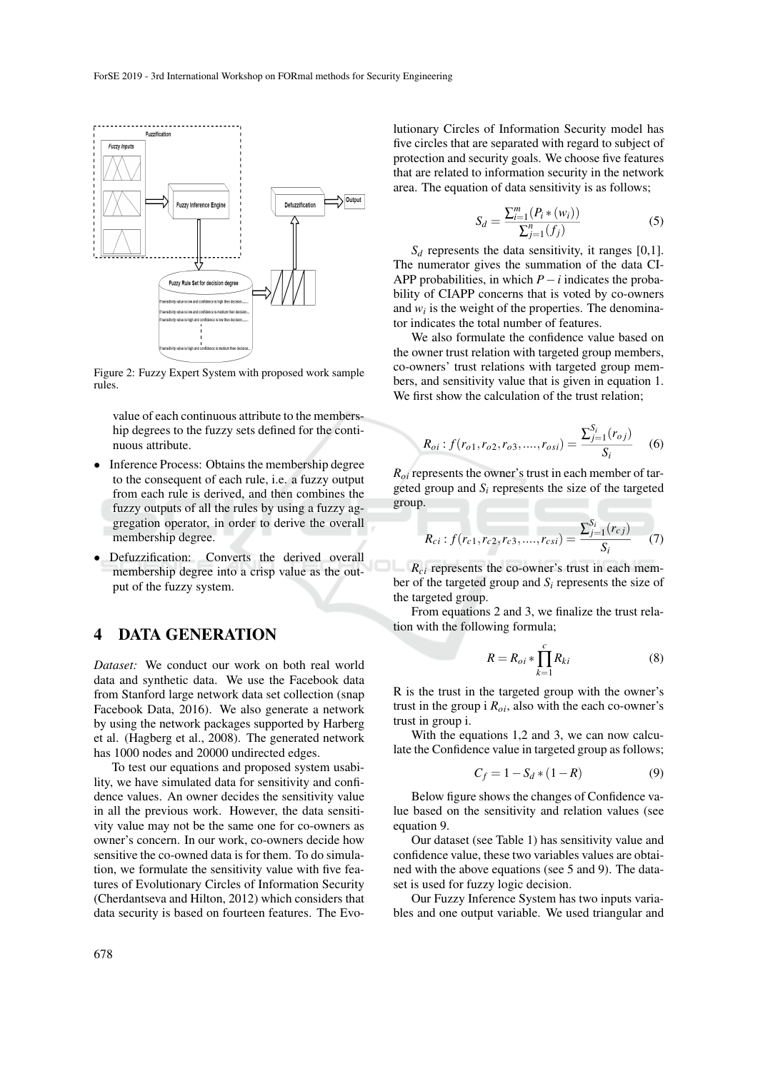

Figure 2: Fuzzy Expert System with proposed work sample rules.

value of each continuous attribute to the membership degrees to the fuzzy sets defined for the continuous attribute.

- Inference Process: Obtains the membership degree to the consequent of each rule, i.e. a fuzzy output from each rule is derived, and then combines the fuzzy outputs of all the rules by using a fuzzy aggregation operator, in order to derive the overall membership degree.
- Defuzzification: Converts the derived overall membership degree into a crisp value as the output of the fuzzy system.

# 4 DATA GENERATION

*Dataset:* We conduct our work on both real world data and synthetic data. We use the Facebook data from Stanford large network data set collection (snap Facebook Data, 2016). We also generate a network by using the network packages supported by Harberg et al. (Hagberg et al., 2008). The generated network has 1000 nodes and 20000 undirected edges.

To test our equations and proposed system usability, we have simulated data for sensitivity and confidence values. An owner decides the sensitivity value in all the previous work. However, the data sensitivity value may not be the same one for co-owners as owner's concern. In our work, co-owners decide how sensitive the co-owned data is for them. To do simulation, we formulate the sensitivity value with five features of Evolutionary Circles of Information Security (Cherdantseva and Hilton, 2012) which considers that data security is based on fourteen features. The Evo-

lutionary Circles of Information Security model has five circles that are separated with regard to subject of protection and security goals. We choose five features that are related to information security in the network area. The equation of data sensitivity is as follows;

$$
S_d = \frac{\sum_{i=1}^{m} (P_i * (w_i))}{\sum_{j=1}^{n} (f_j)}
$$
(5)

 $S_d$  represents the data sensitivity, it ranges [0,1]. The numerator gives the summation of the data CI-APP probabilities, in which  $P - i$  indicates the probability of CIAPP concerns that is voted by co-owners and  $w_i$  is the weight of the properties. The denominator indicates the total number of features.

We also formulate the confidence value based on the owner trust relation with targeted group members, co-owners' trust relations with targeted group members, and sensitivity value that is given in equation 1. We first show the calculation of the trust relation;

$$
R_{oi}: f(r_{o1}, r_{o2}, r_{o3}, \dots, r_{osi}) = \frac{\sum_{j=1}^{S_i} (r_{oj})}{S_i}
$$
 (6)

*Roi* represents the owner's trust in each member of targeted group and  $S_i$  represents the size of the targeted group.

$$
R_{ci}: f(r_{c1}, r_{c2}, r_{c3}, \dots, r_{csi}) = \frac{\sum_{j=1}^{S_i} (r_{cj})}{S_i} \tag{7}
$$

*Rci* represents the co-owner's trust in each member of the targeted group and  $S_i$  represents the size of the targeted group.

From equations 2 and 3, we finalize the trust relation with the following formula;

$$
R = R_{oi} * \prod_{k=1}^{c} R_{ki}
$$
 (8)

R is the trust in the targeted group with the owner's trust in the group i  $R_{oi}$ , also with the each co-owner's trust in group i.

With the equations 1,2 and 3, we can now calculate the Confidence value in targeted group as follows;

$$
C_f = 1 - S_d * (1 - R)
$$
 (9)

Below figure shows the changes of Confidence value based on the sensitivity and relation values (see equation 9.

Our dataset (see Table 1) has sensitivity value and confidence value, these two variables values are obtained with the above equations (see 5 and 9). The dataset is used for fuzzy logic decision.

Our Fuzzy Inference System has two inputs variables and one output variable. We used triangular and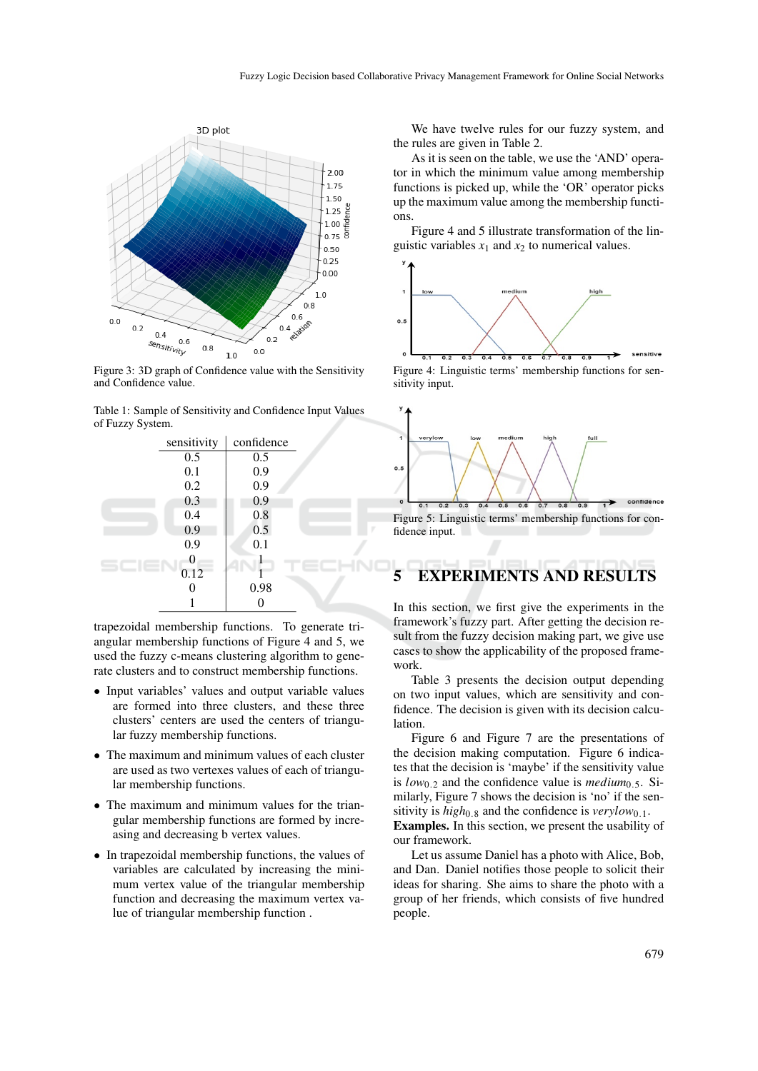

Figure 3: 3D graph of Confidence value with the Sensitivity and Confidence value.

Table 1: Sample of Sensitivity and Confidence Input Values of Fuzzy System.



trapezoidal membership functions. To generate triangular membership functions of Figure 4 and 5, we used the fuzzy c-means clustering algorithm to generate clusters and to construct membership functions.

- Input variables' values and output variable values are formed into three clusters, and these three clusters' centers are used the centers of triangular fuzzy membership functions.
- The maximum and minimum values of each cluster are used as two vertexes values of each of triangular membership functions.
- The maximum and minimum values for the triangular membership functions are formed by increasing and decreasing b vertex values.
- In trapezoidal membership functions, the values of variables are calculated by increasing the minimum vertex value of the triangular membership function and decreasing the maximum vertex value of triangular membership function .

We have twelve rules for our fuzzy system, and the rules are given in Table 2.

As it is seen on the table, we use the 'AND' operator in which the minimum value among membership functions is picked up, while the 'OR' operator picks up the maximum value among the membership functions.

Figure 4 and 5 illustrate transformation of the linguistic variables  $x_1$  and  $x_2$  to numerical values.



Figure 4: Linguistic terms' membership functions for sensitivity input.



Figure 5: Linguistic terms' membership functions for confidence input.

# 5 EXPERIMENTS AND RESULTS

In this section, we first give the experiments in the framework's fuzzy part. After getting the decision result from the fuzzy decision making part, we give use cases to show the applicability of the proposed framework.

Table 3 presents the decision output depending on two input values, which are sensitivity and confidence. The decision is given with its decision calculation.

Figure 6 and Figure 7 are the presentations of the decision making computation. Figure 6 indicates that the decision is 'maybe' if the sensitivity value is  $low_{0,2}$  and the confidence value is *medium*<sub>0.5</sub>. Similarly, Figure 7 shows the decision is 'no' if the sensitivity is *high*<sub>0.8</sub> and the confidence is *verylow*<sub>0.1</sub>. Examples. In this section, we present the usability of our framework.

Let us assume Daniel has a photo with Alice, Bob, and Dan. Daniel notifies those people to solicit their ideas for sharing. She aims to share the photo with a group of her friends, which consists of five hundred people.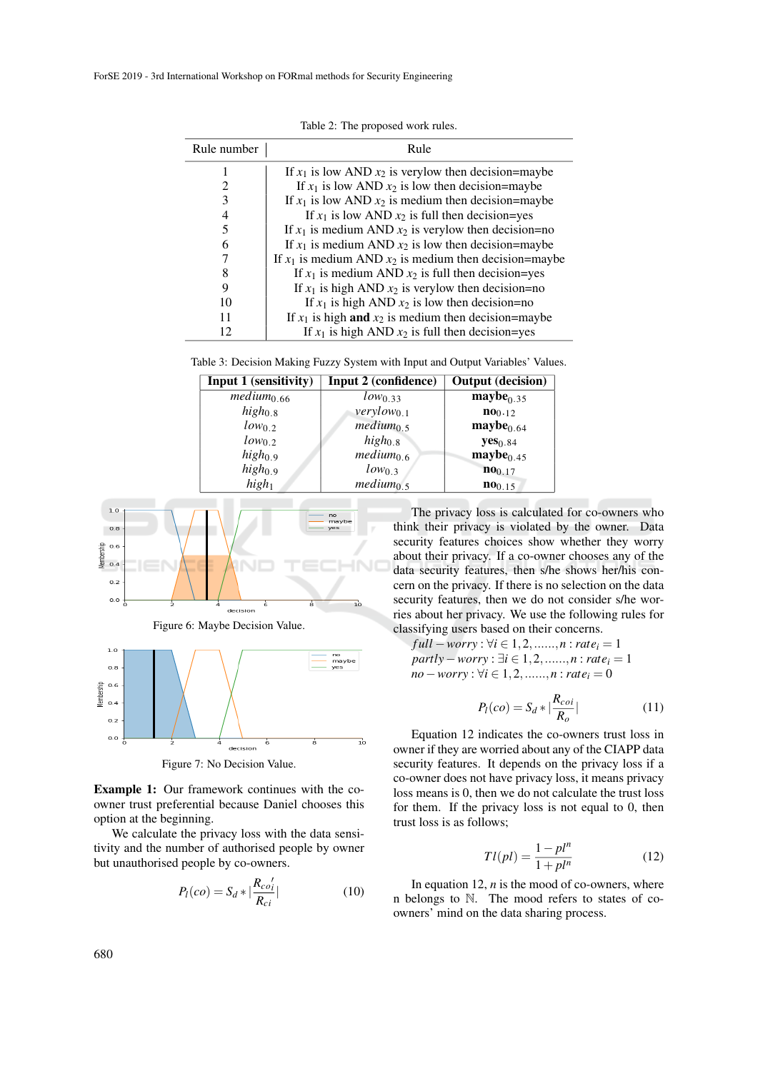| Rule number | Rule                                                       |
|-------------|------------------------------------------------------------|
|             | If $x_1$ is low AND $x_2$ is very low then decision=maybe  |
| 2           | If $x_1$ is low AND $x_2$ is low then decision=maybe       |
| 3           | If $x_1$ is low AND $x_2$ is medium then decision=maybe    |
| 4           | If $x_1$ is low AND $x_2$ is full then decision=yes        |
| 5           | If $x_1$ is medium AND $x_2$ is verylow then decision=no   |
| 6           | If $x_1$ is medium AND $x_2$ is low then decision=maybe    |
|             | If $x_1$ is medium AND $x_2$ is medium then decision=maybe |
| 8           | If $x_1$ is medium AND $x_2$ is full then decision=yes     |
| 9           | If $x_1$ is high AND $x_2$ is verylow then decision=no     |
| 10          | If $x_1$ is high AND $x_2$ is low then decision=no         |
| 11          | If $x_1$ is high and $x_2$ is medium then decision=maybe   |
|             | If $x_1$ is high AND $x_2$ is full then decision=yes       |

Table 2: The proposed work rules.

| Table 3: Decision Making Fuzzy System with Input and Output Variables' Values. |  |  |
|--------------------------------------------------------------------------------|--|--|
|--------------------------------------------------------------------------------|--|--|

| Input 1 (sensitivity)  | Input 2 (confidence)  | <b>Output</b> (decision) |
|------------------------|-----------------------|--------------------------|
| medium <sub>0.66</sub> | $low_{0.33}$          | $\text{maybe}_{0.35}$    |
| $high_{0.8}$           | $verylow_{0.1}$       | n00.12                   |
| $low_0$ 2              | $medium_{0.5}$        | $\text{maybe}_{0.64}$    |
| $low_0$ 2              | $high_{0.8}$          | yes <sub>0.84</sub>      |
| $high_{0.9}$           | $medium_{0.6}$        | $\text{maybe}_{0.45}$    |
| $high_{0.9}$           | $low_0$ 3             | 100.17                   |
| high <sub>1</sub>      | medium <sub>0.5</sub> | $100_{0.15}$             |



Figure 6: Maybe Decision Value.



Figure 7: No Decision Value.

Example 1: Our framework continues with the coowner trust preferential because Daniel chooses this option at the beginning.

We calculate the privacy loss with the data sensitivity and the number of authorised people by owner but unauthorised people by co-owners.

$$
P_l(co) = S_d * |\frac{R_{co'_l}}{R_{ci}}|
$$
 (10)

The privacy loss is calculated for co-owners who think their privacy is violated by the owner. Data security features choices show whether they worry about their privacy. If a co-owner chooses any of the data security features, then s/he shows her/his concern on the privacy. If there is no selection on the data security features, then we do not consider s/he worries about her privacy. We use the following rules for classifying users based on their concerns.

*full* − *worry* :  $\forall i \in 1, 2, \dots, n : \text{rate}_i = 1$ *partly* − *worry* :  $\exists i \in 1, 2, \ldots, n$  : *rate*<sub>*i*</sub> = 1 *no*−*worry* :  $\forall i \in 1, 2, \dots, n : \text{rate}_i = 0$ 

$$
P_l(co) = S_d * |\frac{R_{coi}}{R_o}|
$$
 (11)

Equation 12 indicates the co-owners trust loss in owner if they are worried about any of the CIAPP data security features. It depends on the privacy loss if a co-owner does not have privacy loss, it means privacy loss means is 0, then we do not calculate the trust loss for them. If the privacy loss is not equal to 0, then trust loss is as follows;

$$
Tl(pl) = \frac{1 - pl^n}{1 + pl^n}
$$
\n<sup>(12)</sup>

In equation 12,  $n$  is the mood of co-owners, where n belongs to N. The mood refers to states of coowners' mind on the data sharing process.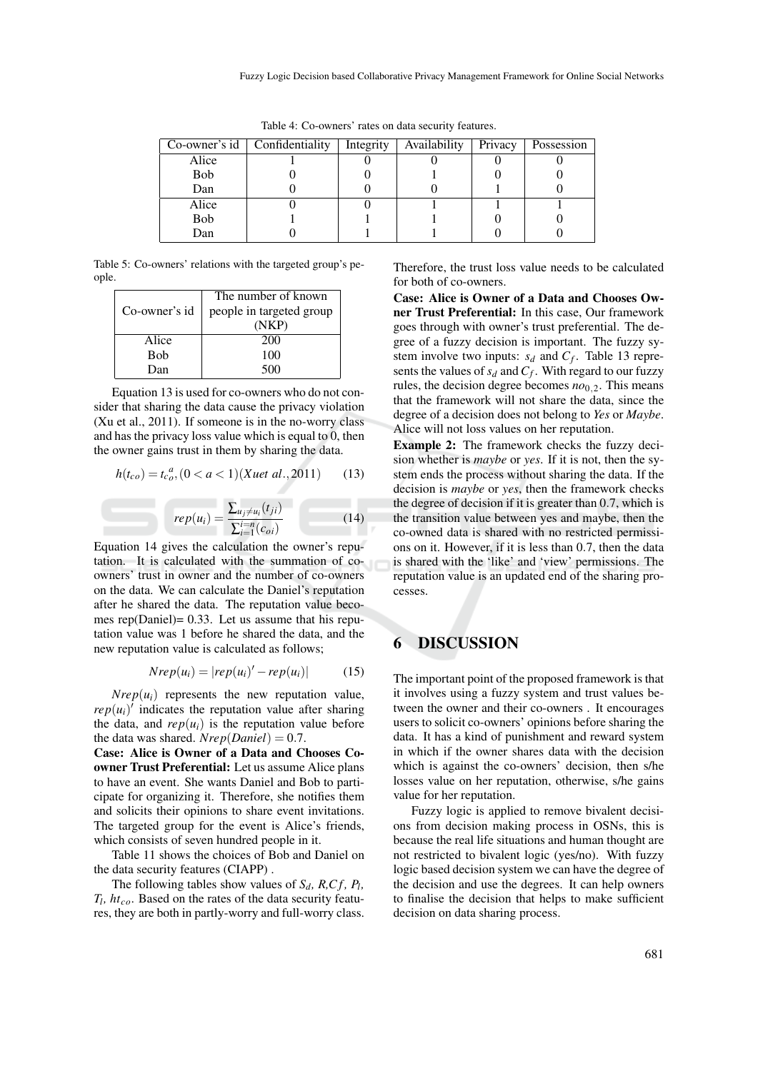|       | Co-owner's $id$   Confidentiality | Integrity | Availability | Privacy | Possession |
|-------|-----------------------------------|-----------|--------------|---------|------------|
| Alice |                                   |           |              |         |            |
| Bob   |                                   |           |              |         |            |
| Dan   |                                   |           |              |         |            |
| Alice |                                   |           |              |         |            |
| Bob   |                                   |           |              |         |            |
| Dan   |                                   |           |              |         |            |

Table 4: Co-owners' rates on data security features.

Table 5: Co-owners' relations with the targeted group's people.

|               | The number of known      |
|---------------|--------------------------|
| Co-owner's id | people in targeted group |
|               | (NKP)                    |
| Alice         | 200                      |
| Bob           | 100                      |
| Dan           | 500                      |

Equation 13 is used for co-owners who do not consider that sharing the data cause the privacy violation (Xu et al., 2011). If someone is in the no-worry class and has the privacy loss value which is equal to 0, then the owner gains trust in them by sharing the data.

$$
h(t_{co}) = t_{co}^{a}, (0 < a < 1)(Xuet al., 2011) \qquad (13)
$$

$$
rep(u_i) = \frac{\sum_{u_j \neq u_i}(t_{ji})}{\sum_{i=1}^{i=n} (c_{oi})}
$$
(14)

Equation 14 gives the calculation the owner's reputation. It is calculated with the summation of coowners' trust in owner and the number of co-owners on the data. We can calculate the Daniel's reputation after he shared the data. The reputation value becomes rep(Daniel)= 0.33. Let us assume that his reputation value was 1 before he shared the data, and the new reputation value is calculated as follows;

$$
Nrep(u_i) = |rep(u_i)' - rep(u_i)| \qquad (15)
$$

 $Nrep(u_i)$  represents the new reputation value,  $rep(u_i)^T$  indicates the reputation value after sharing the data, and  $rep(u_i)$  is the reputation value before the data was shared. *Nrep*(*Daniel*) = 0.7.

Case: Alice is Owner of a Data and Chooses Coowner Trust Preferential: Let us assume Alice plans to have an event. She wants Daniel and Bob to participate for organizing it. Therefore, she notifies them and solicits their opinions to share event invitations. The targeted group for the event is Alice's friends, which consists of seven hundred people in it.

Table 11 shows the choices of Bob and Daniel on the data security features (CIAPP) .

The following tables show values of  $S_d$ ,  $R, Cf, P_l$ , *Tl , htco*. Based on the rates of the data security features, they are both in partly-worry and full-worry class. Therefore, the trust loss value needs to be calculated for both of co-owners.

Case: Alice is Owner of a Data and Chooses Owner Trust Preferential: In this case, Our framework goes through with owner's trust preferential. The degree of a fuzzy decision is important. The fuzzy system involve two inputs:  $s_d$  and  $C_f$ . Table 13 represents the values of  $s_d$  and  $C_f$ . With regard to our fuzzy rules, the decision degree becomes  $n\omega_0$ <sub>2</sub>. This means that the framework will not share the data, since the degree of a decision does not belong to *Yes* or *Maybe*. Alice will not loss values on her reputation.

Example 2: The framework checks the fuzzy decision whether is *maybe* or *yes*. If it is not, then the system ends the process without sharing the data. If the decision is *maybe* or *yes*, then the framework checks the degree of decision if it is greater than 0.7, which is the transition value between yes and maybe, then the co-owned data is shared with no restricted permissions on it. However, if it is less than 0.7, then the data is shared with the 'like' and 'view' permissions. The reputation value is an updated end of the sharing processes.

#### 6 DISCUSSION

The important point of the proposed framework is that it involves using a fuzzy system and trust values between the owner and their co-owners . It encourages users to solicit co-owners' opinions before sharing the data. It has a kind of punishment and reward system in which if the owner shares data with the decision which is against the co-owners' decision, then s/he losses value on her reputation, otherwise, s/he gains value for her reputation.

Fuzzy logic is applied to remove bivalent decisions from decision making process in OSNs, this is because the real life situations and human thought are not restricted to bivalent logic (yes/no). With fuzzy logic based decision system we can have the degree of the decision and use the degrees. It can help owners to finalise the decision that helps to make sufficient decision on data sharing process.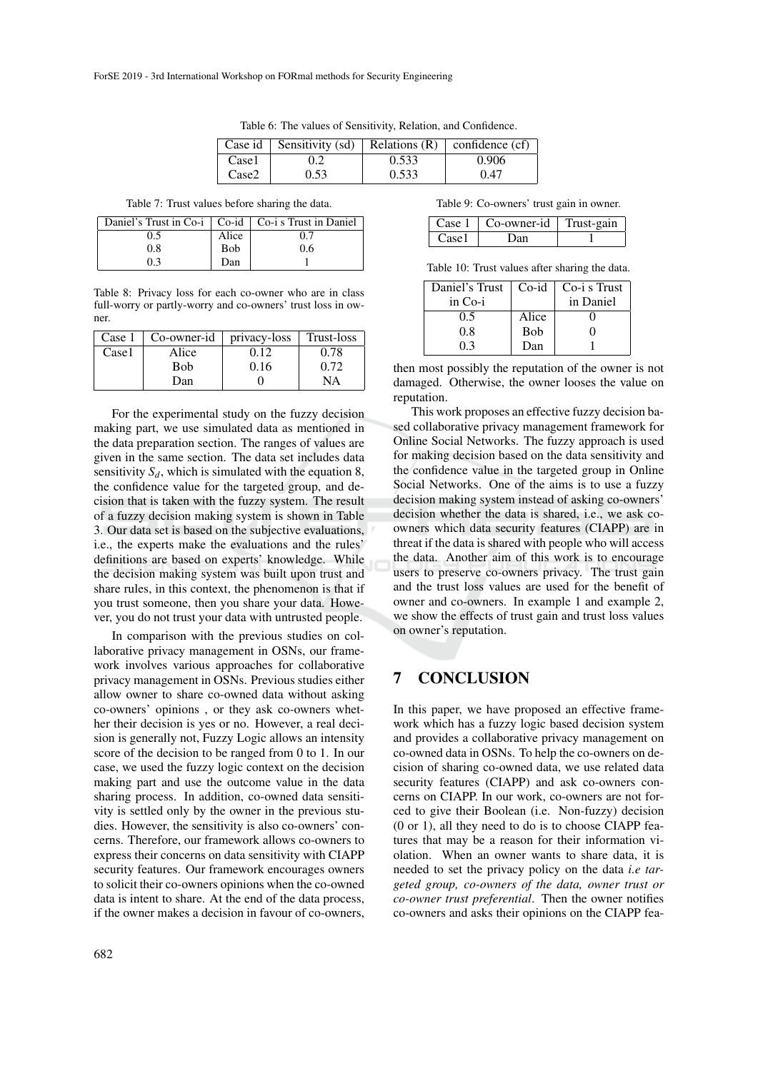|       | Case id   Sensitivity $(sd)$ |       | Relations $(R)$ confidence $(cf)$ |
|-------|------------------------------|-------|-----------------------------------|
| Case1 | 0.2                          | 0.533 | 0.906                             |
| Case2 | 0.53                         | 0.533 | 0.47                              |

Table 6: The values of Sensitivity, Relation, and Confidence.

Table 7: Trust values before sharing the data.

| Daniel's Trust in Co-i $\mid$ Co-i $\mid$ Co-i s Trust in Daniel |            |     |
|------------------------------------------------------------------|------------|-----|
| 0.5                                                              | Alice      | 17  |
| 0.8                                                              | <b>Bob</b> | 0.6 |
| 9.3                                                              | Dan        |     |

Table 8: Privacy loss for each co-owner who are in class full-worry or partly-worry and co-owners' trust loss in owner.

| Case 1 | Co-owner-id | privacy-loss | Trust-loss |
|--------|-------------|--------------|------------|
| Case1  | Alice       | 0.12         | 0.78       |
|        | Bob         | 0.16         | 0.72       |
|        | Dan         |              | NA         |

For the experimental study on the fuzzy decision making part, we use simulated data as mentioned in the data preparation section. The ranges of values are given in the same section. The data set includes data sensitivity  $S_d$ , which is simulated with the equation 8, the confidence value for the targeted group, and decision that is taken with the fuzzy system. The result of a fuzzy decision making system is shown in Table 3. Our data set is based on the subjective evaluations, i.e., the experts make the evaluations and the rules' definitions are based on experts' knowledge. While the decision making system was built upon trust and share rules, in this context, the phenomenon is that if you trust someone, then you share your data. However, you do not trust your data with untrusted people.

In comparison with the previous studies on collaborative privacy management in OSNs, our framework involves various approaches for collaborative privacy management in OSNs. Previous studies either allow owner to share co-owned data without asking co-owners' opinions , or they ask co-owners whether their decision is yes or no. However, a real decision is generally not, Fuzzy Logic allows an intensity score of the decision to be ranged from 0 to 1. In our case, we used the fuzzy logic context on the decision making part and use the outcome value in the data sharing process. In addition, co-owned data sensitivity is settled only by the owner in the previous studies. However, the sensitivity is also co-owners' concerns. Therefore, our framework allows co-owners to express their concerns on data sensitivity with CIAPP security features. Our framework encourages owners to solicit their co-owners opinions when the co-owned data is intent to share. At the end of the data process, if the owner makes a decision in favour of co-owners,

Table 9: Co-owners' trust gain in owner.

|                           | Case $1 \mid$ Co-owner-id $\mid$ Trust-gain |  |
|---------------------------|---------------------------------------------|--|
| $\Gamma$ <sub>380</sub> 1 | l Jan                                       |  |

Table 10: Trust values after sharing the data.

| Daniel's Trust   Co-id |            | Co-i s Trust |
|------------------------|------------|--------------|
| in Co-i                |            | in Daniel    |
| 0.5                    | Alice      |              |
| 0.8                    | <b>Bob</b> |              |
| 03                     | Dan        |              |

then most possibly the reputation of the owner is not damaged. Otherwise, the owner looses the value on reputation.

This work proposes an effective fuzzy decision based collaborative privacy management framework for Online Social Networks. The fuzzy approach is used for making decision based on the data sensitivity and the confidence value in the targeted group in Online Social Networks. One of the aims is to use a fuzzy decision making system instead of asking co-owners' decision whether the data is shared, i.e., we ask coowners which data security features (CIAPP) are in threat if the data is shared with people who will access the data. Another aim of this work is to encourage users to preserve co-owners privacy. The trust gain and the trust loss values are used for the benefit of owner and co-owners. In example 1 and example 2, we show the effects of trust gain and trust loss values on owner's reputation.

#### 7 CONCLUSION

In this paper, we have proposed an effective framework which has a fuzzy logic based decision system and provides a collaborative privacy management on co-owned data in OSNs. To help the co-owners on decision of sharing co-owned data, we use related data security features (CIAPP) and ask co-owners concerns on CIAPP. In our work, co-owners are not forced to give their Boolean (i.e. Non-fuzzy) decision (0 or 1), all they need to do is to choose CIAPP features that may be a reason for their information violation. When an owner wants to share data, it is needed to set the privacy policy on the data *i.e targeted group, co-owners of the data, owner trust or co-owner trust preferential*. Then the owner notifies co-owners and asks their opinions on the CIAPP fea-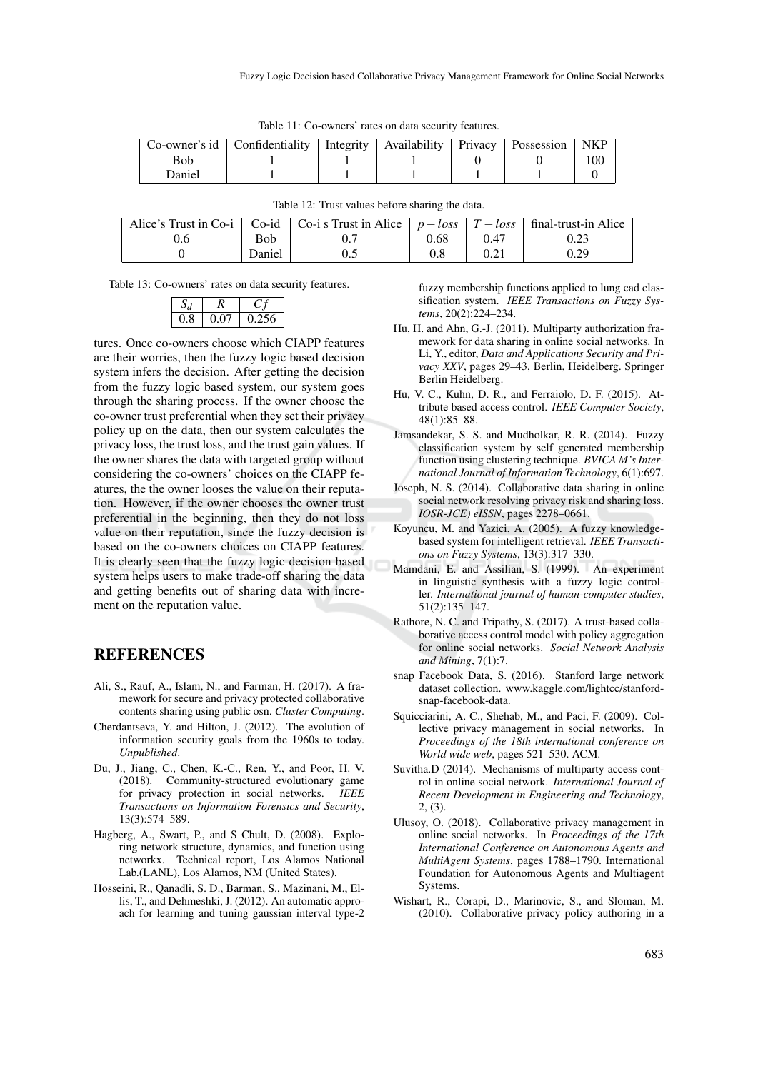|        | Co-owner's id   Confidentiality   Integrity   Availability   Privacy   Possession |  |  |  |
|--------|-----------------------------------------------------------------------------------|--|--|--|
| Bob    |                                                                                   |  |  |  |
| Daniel |                                                                                   |  |  |  |

| Table 11: Co-owners' rates on data security features. |  |  |  |  |
|-------------------------------------------------------|--|--|--|--|
|-------------------------------------------------------|--|--|--|--|

|            | Alice's Trust in Co-i   Co-id   Co-i s Trust in Alice   $p - loss$   $T - loss$   final-trust-in Alice |      |      |      |
|------------|--------------------------------------------------------------------------------------------------------|------|------|------|
| <b>Bob</b> |                                                                                                        | 0.68 | 0.47 |      |
| Daniel     |                                                                                                        |      |      | 0.29 |

Table 12: Trust values before sharing the data.

Table 13: Co-owners' rates on data security features.

| 0.8 | 0.07 | 0.256 |  |
|-----|------|-------|--|

tures. Once co-owners choose which CIAPP features are their worries, then the fuzzy logic based decision system infers the decision. After getting the decision from the fuzzy logic based system, our system goes through the sharing process. If the owner choose the co-owner trust preferential when they set their privacy policy up on the data, then our system calculates the privacy loss, the trust loss, and the trust gain values. If the owner shares the data with targeted group without considering the co-owners' choices on the CIAPP features, the the owner looses the value on their reputation. However, if the owner chooses the owner trust preferential in the beginning, then they do not loss value on their reputation, since the fuzzy decision is based on the co-owners choices on CIAPP features. It is clearly seen that the fuzzy logic decision based system helps users to make trade-off sharing the data and getting benefits out of sharing data with increment on the reputation value.

#### **REFERENCES**

- Ali, S., Rauf, A., Islam, N., and Farman, H. (2017). A framework for secure and privacy protected collaborative contents sharing using public osn. *Cluster Computing*.
- Cherdantseva, Y. and Hilton, J. (2012). The evolution of information security goals from the 1960s to today. *Unpublished*.
- Du, J., Jiang, C., Chen, K.-C., Ren, Y., and Poor, H. V. (2018). Community-structured evolutionary game for privacy protection in social networks. *IEEE Transactions on Information Forensics and Security*, 13(3):574–589.
- Hagberg, A., Swart, P., and S Chult, D. (2008). Exploring network structure, dynamics, and function using networkx. Technical report, Los Alamos National Lab.(LANL), Los Alamos, NM (United States).
- Hosseini, R., Qanadli, S. D., Barman, S., Mazinani, M., Ellis, T., and Dehmeshki, J. (2012). An automatic approach for learning and tuning gaussian interval type-2

fuzzy membership functions applied to lung cad classification system. *IEEE Transactions on Fuzzy Systems*, 20(2):224–234.

- Hu, H. and Ahn, G.-J. (2011). Multiparty authorization framework for data sharing in online social networks. In Li, Y., editor, *Data and Applications Security and Privacy XXV*, pages 29–43, Berlin, Heidelberg. Springer Berlin Heidelberg.
- Hu, V. C., Kuhn, D. R., and Ferraiolo, D. F. (2015). Attribute based access control. *IEEE Computer Society*, 48(1):85–88.
- Jamsandekar, S. S. and Mudholkar, R. R. (2014). Fuzzy classification system by self generated membership function using clustering technique. *BVICA M's International Journal of Information Technology*, 6(1):697.
- Joseph, N. S. (2014). Collaborative data sharing in online social network resolving privacy risk and sharing loss. *IOSR-JCE) eISSN*, pages 2278–0661.
- Koyuncu, M. and Yazici, A. (2005). A fuzzy knowledgebased system for intelligent retrieval. *IEEE Transactions on Fuzzy Systems*, 13(3):317–330.
- Mamdani, E. and Assilian, S. (1999). An experiment in linguistic synthesis with a fuzzy logic controller. *International journal of human-computer studies*, 51(2):135–147.
- Rathore, N. C. and Tripathy, S. (2017). A trust-based collaborative access control model with policy aggregation for online social networks. *Social Network Analysis and Mining*, 7(1):7.
- snap Facebook Data, S. (2016). Stanford large network dataset collection. www.kaggle.com/lightcc/stanfordsnap-facebook-data.
- Squicciarini, A. C., Shehab, M., and Paci, F. (2009). Collective privacy management in social networks. In *Proceedings of the 18th international conference on World wide web*, pages 521–530. ACM.
- Suvitha.D (2014). Mechanisms of multiparty access control in online social network. *International Journal of Recent Development in Engineering and Technology*, 2, (3).
- Ulusoy, O. (2018). Collaborative privacy management in online social networks. In *Proceedings of the 17th International Conference on Autonomous Agents and MultiAgent Systems*, pages 1788–1790. International Foundation for Autonomous Agents and Multiagent Systems.
- Wishart, R., Corapi, D., Marinovic, S., and Sloman, M. (2010). Collaborative privacy policy authoring in a